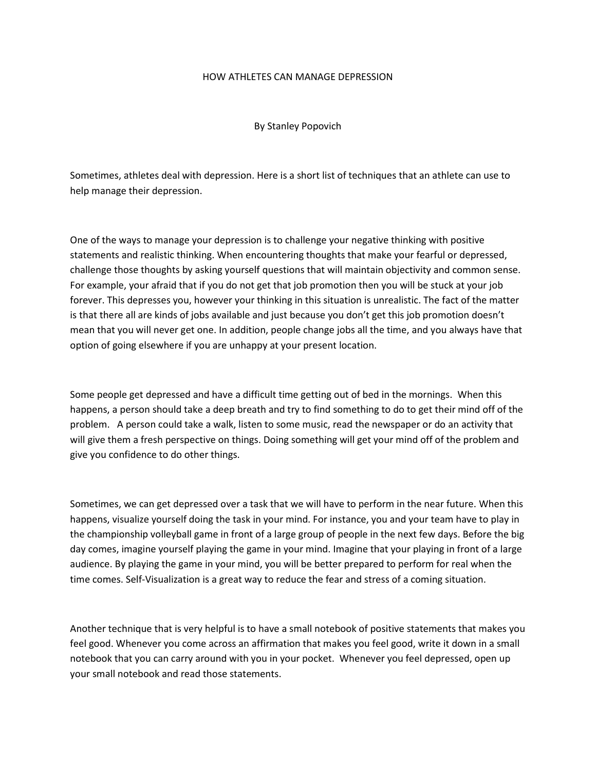## HOW ATHLETES CAN MANAGE DEPRESSION

By Stanley Popovich

Sometimes, athletes deal with depression. Here is a short list of techniques that an athlete can use to help manage their depression.

One of the ways to manage your depression is to challenge your negative thinking with positive statements and realistic thinking. When encountering thoughts that make your fearful or depressed, challenge those thoughts by asking yourself questions that will maintain objectivity and common sense. For example, your afraid that if you do not get that job promotion then you will be stuck at your job forever. This depresses you, however your thinking in this situation is unrealistic. The fact of the matter is that there all are kinds of jobs available and just because you don't get this job promotion doesn't mean that you will never get one. In addition, people change jobs all the time, and you always have that option of going elsewhere if you are unhappy at your present location.

Some people get depressed and have a difficult time getting out of bed in the mornings. When this happens, a person should take a deep breath and try to find something to do to get their mind off of the problem. A person could take a walk, listen to some music, read the newspaper or do an activity that will give them a fresh perspective on things. Doing something will get your mind off of the problem and give you confidence to do other things.

Sometimes, we can get depressed over a task that we will have to perform in the near future. When this happens, visualize yourself doing the task in your mind. For instance, you and your team have to play in the championship volleyball game in front of a large group of people in the next few days. Before the big day comes, imagine yourself playing the game in your mind. Imagine that your playing in front of a large audience. By playing the game in your mind, you will be better prepared to perform for real when the time comes. Self-Visualization is a great way to reduce the fear and stress of a coming situation.

Another technique that is very helpful is to have a small notebook of positive statements that makes you feel good. Whenever you come across an affirmation that makes you feel good, write it down in a small notebook that you can carry around with you in your pocket. Whenever you feel depressed, open up your small notebook and read those statements.